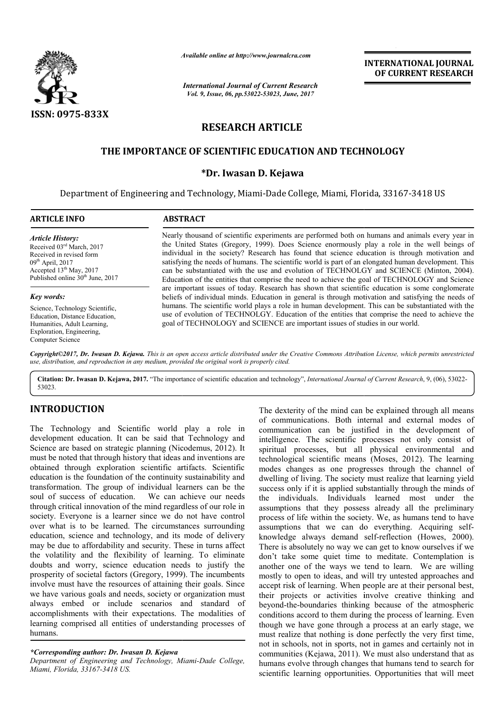

*Available online at http://www.journal http://www.journalcra.com*

*International Journal of Current Research Vol. 9, Issue, 06, pp.53022-53023, June, 2017*

**INTERNATIONAL JOURNAL OF CURRENT RESEARCH** 

# **RESEARCH ARTICLE**

# **THE IMPORTANCE OF SCIENTIFIC EDUCATION AND TECHNOLOGY MPORTANCE \*Dr. Iwasan D. Kejawa EDUCATION AND TECHNOLOGY**

Department of Engineering and Technology, Miami-Dade College, Miami, Florida, 33167-3418 US

| <b>ARTICLE INFO</b>                                                                                                                                                                 | <b>ABSTRACT</b>                                                                                                                                                                                                                                                                                                                                                                                                                                                                                                                                                                                          |
|-------------------------------------------------------------------------------------------------------------------------------------------------------------------------------------|----------------------------------------------------------------------------------------------------------------------------------------------------------------------------------------------------------------------------------------------------------------------------------------------------------------------------------------------------------------------------------------------------------------------------------------------------------------------------------------------------------------------------------------------------------------------------------------------------------|
| <b>Article History:</b><br>Received 03rd March, 2017<br>Received in revised form<br>$09th$ April, 2017<br>Accepted $13th$ May, 2017<br>Published online 30 <sup>th</sup> June, 2017 | Nearly thousand of scientific experiments are performed both on humans and animals every year in<br>the United States (Gregory, 1999). Does Science enormously play a role in the well beings of<br>individual in the society? Research has found that science education is through motivation and<br>satisfying the needs of humans. The scientific world is part of an elongated human development. This<br>can be substantiated with the use and evolution of TECHNOLGY and SCIENCE (Minton, 2004).<br>Education of the entities that comprise the need to achieve the goal of TECHNOLOGY and Science |
| Key words:                                                                                                                                                                          | are important issues of today. Research has shown that scientific education is some conglomerate<br>beliefs of individual minds. Education in general is through motivation and satisfying the needs of                                                                                                                                                                                                                                                                                                                                                                                                  |
| Science, Technology Scientific,<br>Education, Distance Education,<br>Humanities, Adult Learning,<br>Exploration, Engineering,<br>Computer Science                                   | humans. The scientific world plays a role in human development. This can be substantiated with the<br>use of evolution of TECHNOLGY. Education of the entities that comprise the need to achieve the<br>goal of TECHNOLOGY and SCIENCE are important issues of studies in our world.                                                                                                                                                                                                                                                                                                                     |

Copyright©2017, Dr. Iwasan D. Kejawa. This is an open access article distributed under the Creative Commons Attribution License, which permits unrestricted *use, distribution, and reproduction in any medium, provided the original work is properly cited.*

Citation: Dr. Iwasan D. Kejawa, 2017. "The importance of scientific education and technology", *International Journal of Current Research*, 9, (06), 53022-53023.

## **INTRODUCTION**

The Technology and Scientific world play a role in development education. It can be said that Technology and Science are based on strategic planning (Nicodemus, 2012). It must be noted that through history that ideas and inventions are obtained through exploration scientific artifacts. Scientific education is the foundation of the continuity sustainability and transformation. The group of individual learners can be the soul of success of education. We can achieve our needs through critical innovation of the mind regardless of our role in society. Everyone is a learner since we do not have control transformation. The group of individual learners can be the soul of success of education. We can achieve our needs through critical innovation of the mind regardless of our role in society. Everyone is a learner since we d education, science and technology, and its mode of delivery may be due to affordability and security. These in turns affect the volatility and the flexibility of learning. To eliminate doubts and worry, science education needs to justify the prosperity of societal factors (Gregory, 1999). The incumbents involve must have the resources of attaining their goals. Since we have various goals and needs, society or organization must always embed or include scenarios and standard of accomplishments with their expectations. The modalities of learning comprised all entities of understanding processes of humans.

#### *\*Corresponding author: Dr. Iwasan D. Kejawa*

Department of Engineering and Technology, Miami-Dade College, *Miami, Florida, 33167-3418 US.*

The dexterity of the mind can be explained through all means of communications. Both internal and external modes of communication can be justified in the development of intelligence. The scientific processes not only consist of spiritual processes, but all physical environmental and technological scientific means (Moses, 2012). The learning modes changes as one progresses through the channel of dwelling of living. The society must realize that learning yield success only if it is applied substantially through the minds of the individuals. Individuals learned most under the assumptions that they possess already all the preliminary process of life within the society. We, as humans tend to have assumptions that we can do everything. Acquiring knowledge always demand self-reflection (Howes, 2000). There is absolutely no way we can get to know ourselves if we don't take some quiet time to meditate. Contemplation is another one of the ways we tend to learn. We are willing mostly to open to ideas, and will try untested approaches and accept risk of learning. When people are at their personal best, their projects or activities involve creative thinking and beyond-the-boundaries thinking because of the atmospheric conditions accord to them during the process of learning. though we have gone through a process at an early stage, we must realize that nothing is done perfectly the very first time, not in schools, not in sports, not in games and certainly not in communities (Kejawa, 2011). We must also understand that as humans evolve through changes that humans tend to search for scientific learning opportunities. Opportunities that will meet The dexterity of the mind can be explained through all means of communications. Both internal and external modes of intelligence. The scientific processes not only consist of spiritual processes, but all physical environme is absolutely no way we can get to know ourselves if we take some quiet time to meditate. Contemplation is  $r$  one of the ways we tend to learn. We are willing  $\alpha$  to open to ideas, and will try untested approaches and ri we have gone through a process at an early stage, we alize that nothing is done perfectly the very first time, chools, not in sports, not in games and certainly not in inities (Kejawa, 2011). We must also understand that a **INTERNATIONAL JOURNAL CONTENT (CONTENT ACTEST CONTENT (CONTENT).**<br> **INTERNATIONAL OF CURRENT RESEARCH**<br> **CONTENT ACTEST (CONTENT)**. The second to opportunities that the opportunities (Keising and the opportunities (Keisi